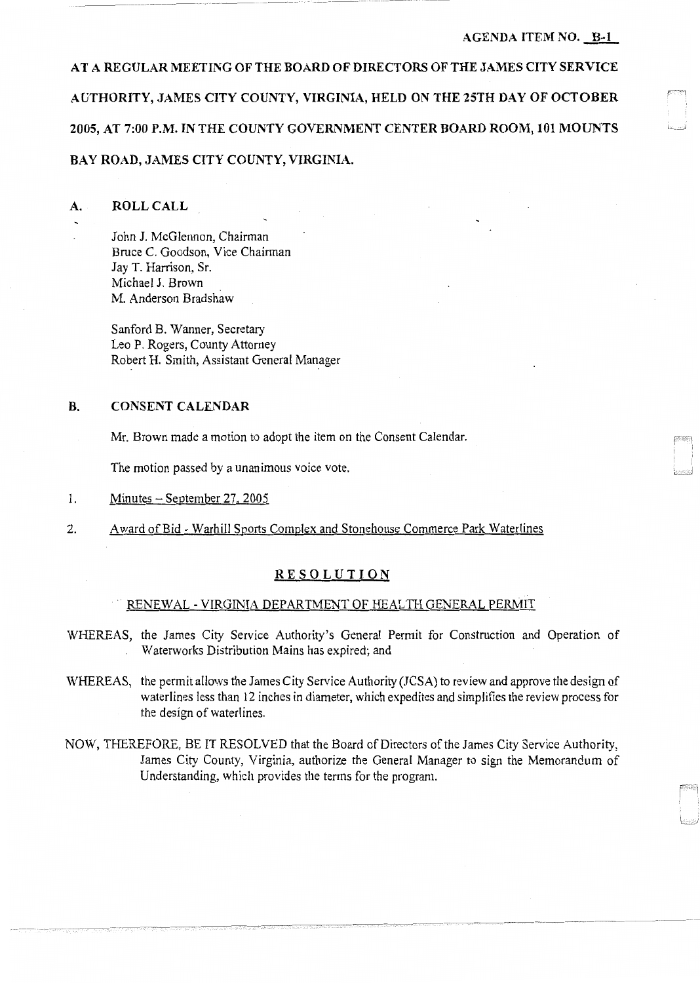#### AGENDA ITEM NO. B-1

.<br>انتخصت ا

**AT A REGULAR MEETING OF THE BOARD OF DIRECTORS OF THE JAMES CITY SERVICE AUTHORITY, JAMES CITY COUNTY, VIRGINIA, HELD ON THE 25TH DAY OF OCTOBER 2005, AT 7:00 P.M. IN THE COUNTY GOVERNMENT CENTER BOARD ROOM, 101 MOUNTS BAY ROAD, JAMES CITY COUNTY, VIRGINIA.** 

## **A. ROLL CALL**

--- ---------~--- --

John **J.** McGlennon, Chairman Bruce C. Goodson, Vice Chairman Jay T. Harrison, Sr. Michael **J.** Brown M. Anderson Bradshaw

Sanford B. Wanner, Secretary Leo P. Rogers, County Attorney Robert H. Smith, Assistant General Manager

## **B. CONSENT CALENDAR**

Mr. Brown made a motion to adopt the item on the Consent Calendar.

The motion passed by a unanimous voice vote.

1. Minutes – September 27, 2005

--- ------------~--

2. Award of Bid - Warhill Sports Complex and Stonehouse Commerce Park Waterlines

## **RESOLUTION**

#### RENEW AL - VIRGINIA DEPARTMENT OF HEALTH GENERAL PERMIT

- WHEREAS, the James City Service Authority's General Permit for Construction and Operation of Waterworks Distribution Mains has expired; and
- WHEREAS, the permit allows the James City Service Authority (JCSA) to review and approve the design of waterlines less than 12 inches in diameter, which expedites and simplifies the review process for the design of waterlines.
- NOW, THEREFORE, BE IT RESOLVED that the Board of Directors of the James City Service Authority, James City County, Virginia, authorize the General Manager to sign the Memorandum of Understanding, which provides the terms for the program.